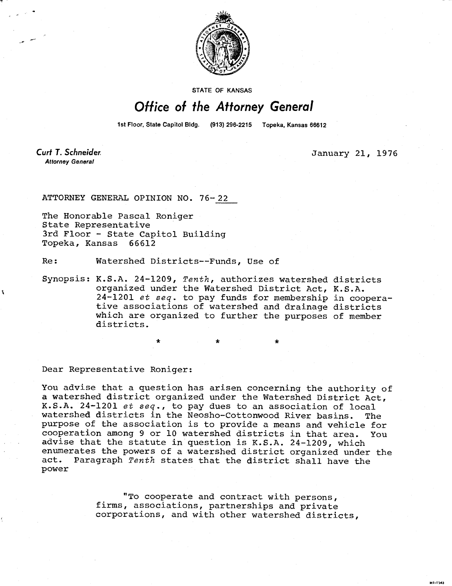

STATE OF KANSAS

## Office of the Attorney General

1st Floor, State Capitol Bldg. (913) 296-2215 Topeka, Kansas 66612

**Curt T. Schneider. Attorney General** 

January 21, 1976

.<br>Hi-1943

ATTORNEY GENERAL OPINION NO. 76-22

The Honorable Pascal Roniger State Representative 3rd Floor - State Capitol Building Topeka, Kansas 66612

Re: Watershed Districts--Funds, Use of

Synopsis: K.S.A. 24-1209, Tenth, authorizes watershed districts organized under the Watershed District Act, K.S.A. 24-1201 et seq. to pay funds for membership in cooperative associations of watershed and drainage districts which are organized to further the purposes of member districts.

\*

Dear Representative Roniger:

You advise that a question has arisen concerning the authority of a watershed district organized under the Watershed District Act, K.S.A. 24-1201 et seq., to pay dues to an association of local watershed districts in the Neosho-Cottonwood River basins. The purpose of the association is to provide a means and vehicle for cooperation among 9 or 10 watershed districts in that area. You advise that the statute in question is K.S.A. 24-1209, which enumerates the powers of a watershed district organized under the act. Paragraph Tenth states that the district shall have the power

> "To cooperate and contract with persons, firms, associations, partnerships and private corporations, and with other watershed districts,